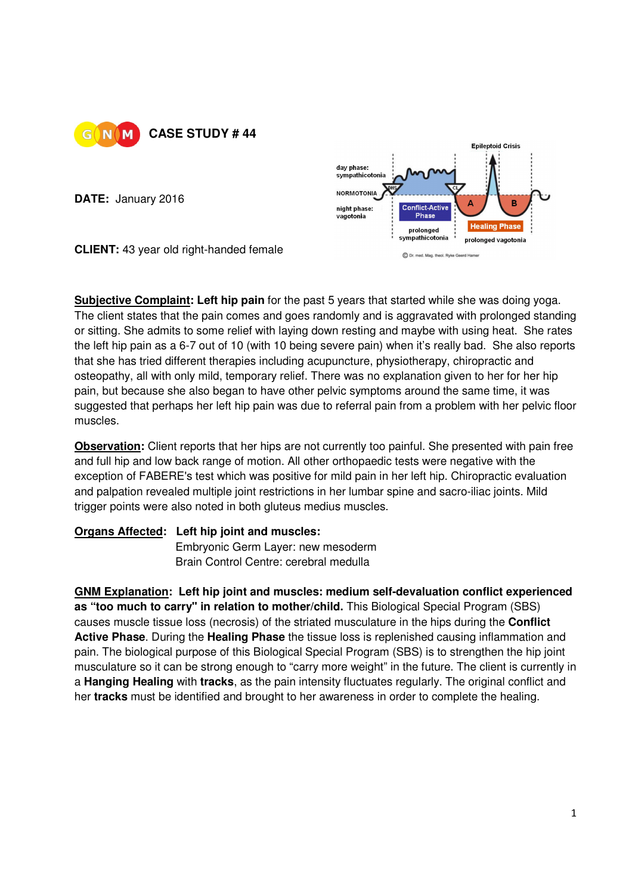

**DATE:** January 2016



**CLIENT:** 43 year old right-handed female

**Subjective Complaint: Left hip pain** for the past 5 years that started while she was doing yoga. The client states that the pain comes and goes randomly and is aggravated with prolonged standing or sitting. She admits to some relief with laying down resting and maybe with using heat. She rates the left hip pain as a 6-7 out of 10 (with 10 being severe pain) when it's really bad. She also reports that she has tried different therapies including acupuncture, physiotherapy, chiropractic and osteopathy, all with only mild, temporary relief. There was no explanation given to her for her hip pain, but because she also began to have other pelvic symptoms around the same time, it was suggested that perhaps her left hip pain was due to referral pain from a problem with her pelvic floor muscles.

**Observation:** Client reports that her hips are not currently too painful. She presented with pain free and full hip and low back range of motion. All other orthopaedic tests were negative with the exception of FABERE's test which was positive for mild pain in her left hip. Chiropractic evaluation and palpation revealed multiple joint restrictions in her lumbar spine and sacro-iliac joints. Mild trigger points were also noted in both gluteus medius muscles.

## **Organs Affected: Left hip joint and muscles:**

**Embryonic Germ Layer: new mesoderm** Brain Control Centre: cerebral medulla

**GNM Explanation: Left hip joint and muscles: medium self-devaluation conflict experienced as "too much to carry" in relation to mother/child.** This Biological Special Program (SBS) causes muscle tissue loss (necrosis) of the striated musculature in the hips during the **Conflict Active Phase**. During the **Healing Phase** the tissue loss is replenished causing inflammation and pain. The biological purpose of this Biological Special Program (SBS) is to strengthen the hip joint musculature so it can be strong enough to "carry more weight" in the future. The client is currently in a **Hanging Healing** with **tracks**, as the pain intensity fluctuates regularly. The original conflict and her **tracks** must be identified and brought to her awareness in order to complete the healing.